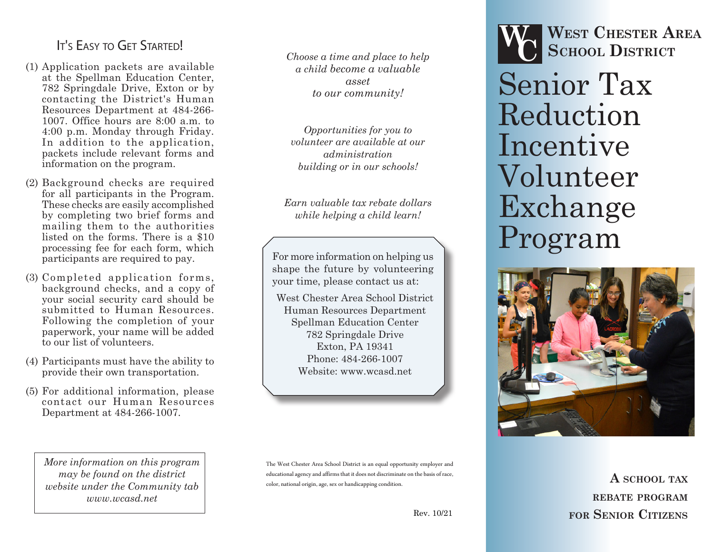# It's Easy to Get Started!

- (1) Application packets are available at the Spellman Education Center, 782 Springdale Drive, Exton or by contacting the District's Human Resources Department at 484-266- 1007. Office hours are 8:00 a.m. to 4:00 p.m. Monday through Friday. In addition to the application. packets include relevant forms and information on the program.
- (2) Background checks are required for all participants in the Program. These checks are easily accomplished by completing two brief forms and mailing them to the authorities listed on the forms. There is a \$10 processing fee for each form, which participants are required to pay.
- (3) Completed application forms, background checks, and a copy of your social security card should be submitted to Human Resources. Following the completion of your paperwork, your name will be added to our list of volunteers.
- (4) Participants must have the ability to provide their own transportation.
- (5) For additional information, please contact our Human Resources Department at 484-266-1007.

*More information on this program may be found on the district website under the Community tab www.wcasd.net*

*Choose a time and place to help a child become a valuable asset to our community!*

*Opportunities for you to volunteer are available at our administration building or in our schools!*

*Earn valuable tax rebate dollars while helping a child learn!*

For more information on helping us shape the future by volunteering your time, please contact us at:

West Chester Area School District Human Resources Department Spellman Education Center 782 Springdale Drive Exton, PA 19341 Phone: 484-266-1007 Website: www.wcasd.net

The West Chester Area School District is an equal opportunity employer and educational agency and affirms that it does not discriminate on the basis of race, color, national origin, age, sex or handicapping condition.



**West Chester Area School District WC**

Senior Tax Reduction Incentive Volunteer Exchange Program



**A school tax rebate program for Senior Citizens**